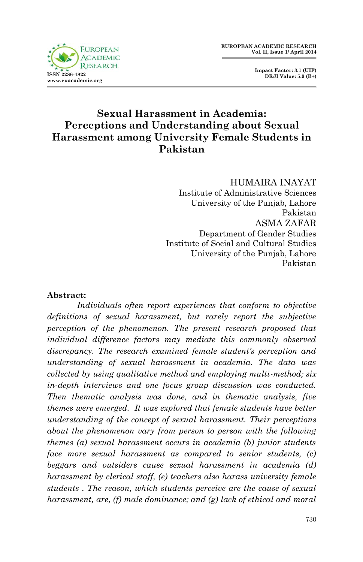



## **Sexual Harassment in Academia: Perceptions and Understanding about Sexual Harassment among University Female Students in Pakistan**

#### HUMAIRA INAYAT

Institute of Administrative Sciences University of the Punjab, Lahore Pakistan ASMA ZAFAR Department of Gender Studies Institute of Social and Cultural Studies University of the Punjab, Lahore Pakistan

#### **Abstract:**

*Individuals often report experiences that conform to objective definitions of sexual harassment, but rarely report the subjective perception of the phenomenon. The present research proposed that individual difference factors may mediate this commonly observed discrepancy. The research examined female student's perception and understanding of sexual harassment in academia. The data was collected by using qualitative method and employing multi-method; six in-depth interviews and one focus group discussion was conducted. Then thematic analysis was done, and in thematic analysis, five themes were emerged. It was explored that female students have better understanding of the concept of sexual harassment. Their perceptions about the phenomenon vary from person to person with the following themes (a) sexual harassment occurs in academia (b) junior students face more sexual harassment as compared to senior students, (c) beggars and outsiders cause sexual harassment in academia (d) harassment by clerical staff, (e) teachers also harass university female students . The reason, which students perceive are the cause of sexual harassment, are, (f) male dominance; and (g) lack of ethical and moral*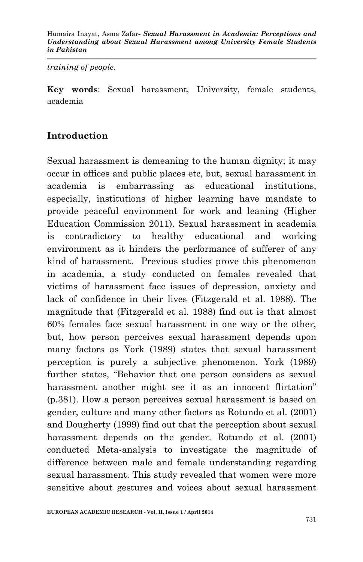#### *training of people.*

**Key words**: Sexual harassment, University, female students, academia

## **Introduction**

Sexual harassment is demeaning to the human dignity; it may occur in offices and public places etc, but, sexual harassment in academia is embarrassing as educational institutions, especially, institutions of higher learning have mandate to provide peaceful environment for work and leaning (Higher Education Commission 2011). Sexual harassment in academia is contradictory to healthy educational and working environment as it hinders the performance of sufferer of any kind of harassment. Previous studies prove this phenomenon in academia, a study conducted on females revealed that victims of harassment face issues of depression, anxiety and lack of confidence in their lives (Fitzgerald et al. 1988). The magnitude that (Fitzgerald et al. 1988) find out is that almost 60% females face sexual harassment in one way or the other, but, how person perceives sexual harassment depends upon many factors as York (1989) states that sexual harassment perception is purely a subjective phenomenon. York (1989) further states, "Behavior that one person considers as sexual harassment another might see it as an innocent flirtation" (p.381). How a person perceives sexual harassment is based on gender, culture and many other factors as Rotundo et al. (2001) and Dougherty (1999) find out that the perception about sexual harassment depends on the gender. Rotundo et al. (2001) conducted Meta-analysis to investigate the magnitude of difference between male and female understanding regarding sexual harassment. This study revealed that women were more sensitive about gestures and voices about sexual harassment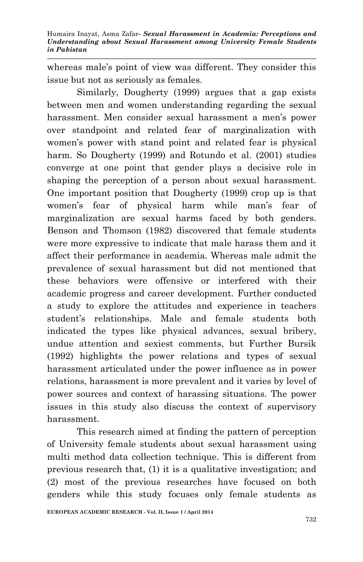whereas male's point of view was different. They consider this issue but not as seriously as females.

Similarly, Dougherty (1999) argues that a gap exists between men and women understanding regarding the sexual harassment. Men consider sexual harassment a men's power over standpoint and related fear of marginalization with women's power with stand point and related fear is physical harm. So Dougherty (1999) and Rotundo et al. (2001) studies converge at one point that gender plays a decisive role in shaping the perception of a person about sexual harassment. One important position that Dougherty (1999) crop up is that women's fear of physical harm while man's fear of marginalization are sexual harms faced by both genders. Benson and Thomson (1982) discovered that female students were more expressive to indicate that male harass them and it affect their performance in academia. Whereas male admit the prevalence of sexual harassment but did not mentioned that these behaviors were offensive or interfered with their academic progress and career development. Further conducted a study to explore the attitudes and experience in teachers student's relationships. Male and female students both indicated the types like physical advances, sexual bribery, undue attention and sexiest comments, but Further Bursik (1992) highlights the power relations and types of sexual harassment articulated under the power influence as in power relations, harassment is more prevalent and it varies by level of power sources and context of harassing situations. The power issues in this study also discuss the context of supervisory harassment.

This research aimed at finding the pattern of perception of University female students about sexual harassment using multi method data collection technique. This is different from previous research that, (1) it is a qualitative investigation; and (2) most of the previous researches have focused on both genders while this study focuses only female students as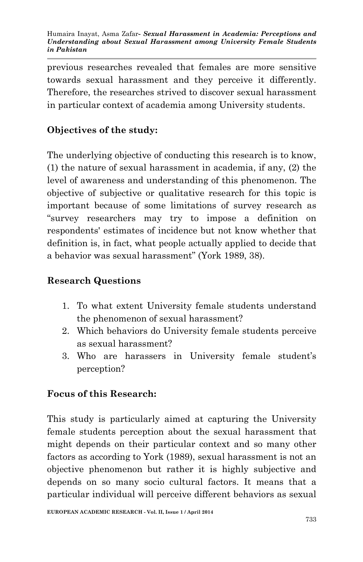previous researches revealed that females are more sensitive towards sexual harassment and they perceive it differently. Therefore, the researches strived to discover sexual harassment in particular context of academia among University students.

# **Objectives of the study:**

The underlying objective of conducting this research is to know, (1) the nature of sexual harassment in academia, if any, (2) the level of awareness and understanding of this phenomenon. The objective of subjective or qualitative research for this topic is important because of some limitations of survey research as "survey researchers may try to impose a definition on respondents' estimates of incidence but not know whether that definition is, in fact, what people actually applied to decide that a behavior was sexual harassment" (York 1989, 38).

## **Research Questions**

- 1. To what extent University female students understand the phenomenon of sexual harassment?
- 2. Which behaviors do University female students perceive as sexual harassment?
- 3. Who are harassers in University female student's perception?

## **Focus of this Research:**

This study is particularly aimed at capturing the University female students perception about the sexual harassment that might depends on their particular context and so many other factors as according to York (1989), sexual harassment is not an objective phenomenon but rather it is highly subjective and depends on so many socio cultural factors. It means that a particular individual will perceive different behaviors as sexual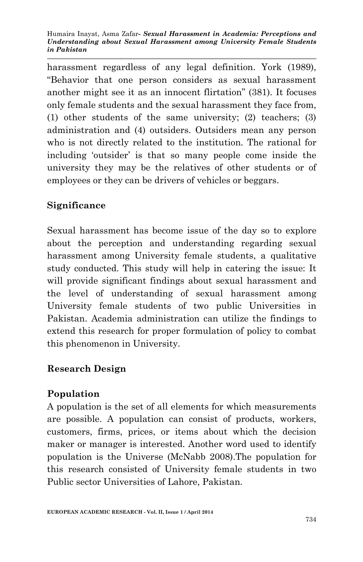harassment regardless of any legal definition. York (1989), "Behavior that one person considers as sexual harassment another might see it as an innocent flirtation" (381). It focuses only female students and the sexual harassment they face from, (1) other students of the same university; (2) teachers; (3) administration and (4) outsiders. Outsiders mean any person who is not directly related to the institution. The rational for including 'outsider' is that so many people come inside the university they may be the relatives of other students or of employees or they can be drivers of vehicles or beggars.

# **Significance**

Sexual harassment has become issue of the day so to explore about the perception and understanding regarding sexual harassment among University female students, a qualitative study conducted. This study will help in catering the issue: It will provide significant findings about sexual harassment and the level of understanding of sexual harassment among University female students of two public Universities in Pakistan. Academia administration can utilize the findings to extend this research for proper formulation of policy to combat this phenomenon in University.

# **Research Design**

# **Population**

A population is the set of all elements for which measurements are possible. A population can consist of products, workers, customers, firms, prices, or items about which the decision maker or manager is interested. Another word used to identify population is the Universe (McNabb 2008).The population for this research consisted of University female students in two Public sector Universities of Lahore, Pakistan.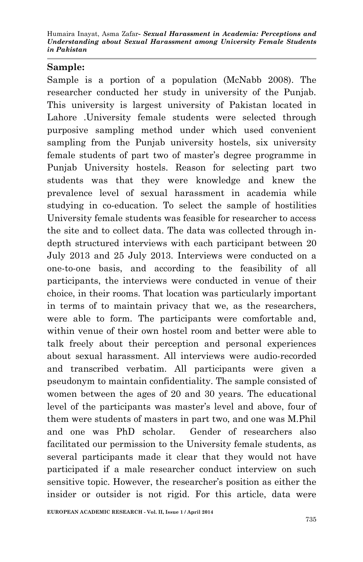### **Sample:**

Sample is a portion of a population (McNabb 2008). The researcher conducted her study in university of the Punjab. This university is largest university of Pakistan located in Lahore .University female students were selected through purposive sampling method under which used convenient sampling from the Punjab university hostels, six university female students of part two of master's degree programme in Punjab University hostels. Reason for selecting part two students was that they were knowledge and knew the prevalence level of sexual harassment in academia while studying in co-education. To select the sample of hostilities University female students was feasible for researcher to access the site and to collect data. The data was collected through indepth structured interviews with each participant between 20 July 2013 and 25 July 2013. Interviews were conducted on a one-to-one basis, and according to the feasibility of all participants, the interviews were conducted in venue of their choice, in their rooms. That location was particularly important in terms of to maintain privacy that we, as the researchers, were able to form. The participants were comfortable and, within venue of their own hostel room and better were able to talk freely about their perception and personal experiences about sexual harassment. All interviews were audio-recorded and transcribed verbatim. All participants were given a pseudonym to maintain confidentiality. The sample consisted of women between the ages of 20 and 30 years. The educational level of the participants was master's level and above, four of them were students of masters in part two, and one was M.Phil and one was PhD scholar. Gender of researchers also facilitated our permission to the University female students, as several participants made it clear that they would not have participated if a male researcher conduct interview on such sensitive topic. However, the researcher's position as either the insider or outsider is not rigid. For this article, data were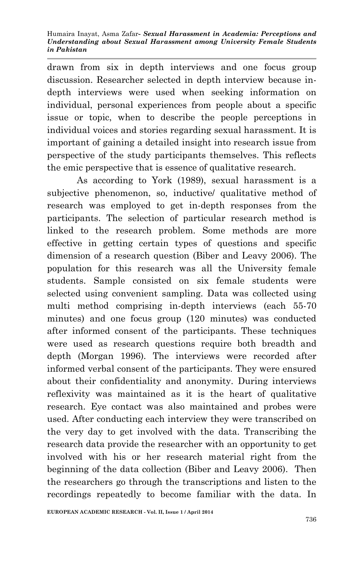drawn from six in depth interviews and one focus group discussion. Researcher selected in depth interview because indepth interviews were used when seeking information on individual, personal experiences from people about a specific issue or topic, when to describe the people perceptions in individual voices and stories regarding sexual harassment. It is important of gaining a detailed insight into research issue from perspective of the study participants themselves. This reflects the emic perspective that is essence of qualitative research.

As according to York (1989), sexual harassment is a subjective phenomenon, so, inductive/ qualitative method of research was employed to get in-depth responses from the participants. The selection of particular research method is linked to the research problem. Some methods are more effective in getting certain types of questions and specific dimension of a research question (Biber and Leavy 2006). The population for this research was all the University female students. Sample consisted on six female students were selected using convenient sampling. Data was collected using multi method comprising in-depth interviews (each 55-70 minutes) and one focus group (120 minutes) was conducted after informed consent of the participants. These techniques were used as research questions require both breadth and depth (Morgan 1996). The interviews were recorded after informed verbal consent of the participants. They were ensured about their confidentiality and anonymity. During interviews reflexivity was maintained as it is the heart of qualitative research. Eye contact was also maintained and probes were used. After conducting each interview they were transcribed on the very day to get involved with the data. Transcribing the research data provide the researcher with an opportunity to get involved with his or her research material right from the beginning of the data collection (Biber and Leavy 2006). Then the researchers go through the transcriptions and listen to the recordings repeatedly to become familiar with the data. In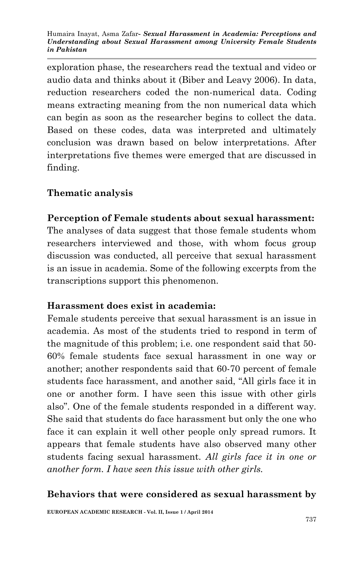exploration phase, the researchers read the textual and video or audio data and thinks about it (Biber and Leavy 2006). In data, reduction researchers coded the non-numerical data. Coding means extracting meaning from the non numerical data which can begin as soon as the researcher begins to collect the data. Based on these codes, data was interpreted and ultimately conclusion was drawn based on below interpretations. After interpretations five themes were emerged that are discussed in finding.

### **Thematic analysis**

### **Perception of Female students about sexual harassment:**

The analyses of data suggest that those female students whom researchers interviewed and those, with whom focus group discussion was conducted, all perceive that sexual harassment is an issue in academia. Some of the following excerpts from the transcriptions support this phenomenon.

#### **Harassment does exist in academia:**

Female students perceive that sexual harassment is an issue in academia. As most of the students tried to respond in term of the magnitude of this problem; i.e. one respondent said that 50- 60% female students face sexual harassment in one way or another; another respondents said that 60-70 percent of female students face harassment, and another said, "All girls face it in one or another form. I have seen this issue with other girls also". One of the female students responded in a different way. She said that students do face harassment but only the one who face it can explain it well other people only spread rumors. It appears that female students have also observed many other students facing sexual harassment. *All girls face it in one or another form. I have seen this issue with other girls.*

#### **Behaviors that were considered as sexual harassment by**

**EUROPEAN ACADEMIC RESEARCH - Vol. II, Issue 1 / April 2014**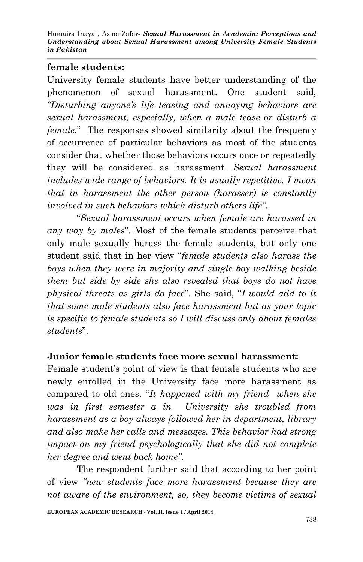#### **female students:**

University female students have better understanding of the phenomenon of sexual harassment. One student said, *"Disturbing anyone's life teasing and annoying behaviors are sexual harassment, especially, when a male tease or disturb a female*." The responses showed similarity about the frequency of occurrence of particular behaviors as most of the students consider that whether those behaviors occurs once or repeatedly they will be considered as harassment. *Sexual harassment includes wide range of behaviors. It is usually repetitive. I mean that in harassment the other person (harasser) is constantly involved in such behaviors which disturb others life".*

"*Sexual harassment occurs when female are harassed in any way by males*". Most of the female students perceive that only male sexually harass the female students, but only one student said that in her view "*female students also harass the boys when they were in majority and single boy walking beside them but side by side she also revealed that boys do not have physical threats as girls do face*". She said, "*I would add to it that some male students also face harassment but as your topic is specific to female students so I will discuss only about females students*".

### **Junior female students face more sexual harassment:**

Female student's point of view is that female students who are newly enrolled in the University face more harassment as compared to old ones. "*It happened with my friend when she was in first semester a in University she troubled from harassment as a boy always followed her in department, library and also make her calls and messages. This behavior had strong impact on my friend psychologically that she did not complete her degree and went back home"*.

The respondent further said that according to her point of view *"new students face more harassment because they are not aware of the environment, so, they become victims of sexual*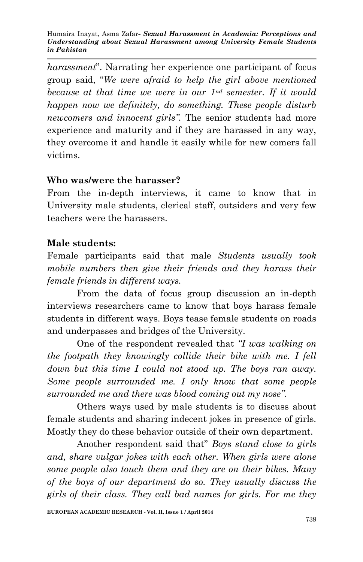*harassment*". Narrating her experience one participant of focus group said, "*We were afraid to help the girl above mentioned because at that time we were in our 1nd semester. If it would happen now we definitely, do something. These people disturb newcomers and innocent girls".* The senior students had more experience and maturity and if they are harassed in any way, they overcome it and handle it easily while for new comers fall victims.

### **Who was/were the harasser?**

From the in-depth interviews, it came to know that in University male students, clerical staff, outsiders and very few teachers were the harassers.

### **Male students:**

Female participants said that male *Students usually took mobile numbers then give their friends and they harass their female friends in different ways.*

From the data of focus group discussion an in-depth interviews researchers came to know that boys harass female students in different ways. Boys tease female students on roads and underpasses and bridges of the University.

One of the respondent revealed that *"I was walking on the footpath they knowingly collide their bike with me. I fell down but this time I could not stood up. The boys ran away. Some people surrounded me. I only know that some people surrounded me and there was blood coming out my nose".*

Others ways used by male students is to discuss about female students and sharing indecent jokes in presence of girls. Mostly they do these behavior outside of their own department.

Another respondent said that" *Boys stand close to girls and, share vulgar jokes with each other. When girls were alone some people also touch them and they are on their bikes. Many of the boys of our department do so. They usually discuss the girls of their class. They call bad names for girls. For me they*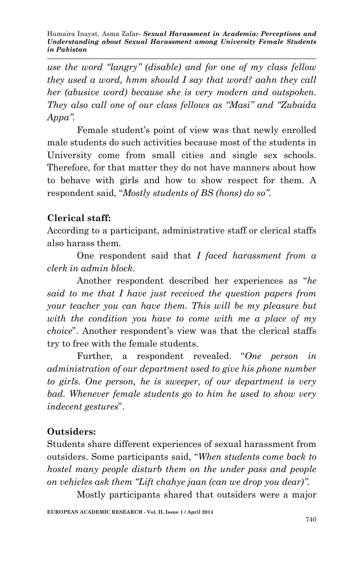*use the word "langry" (disable) and for one of my class fellow they used a word, hmm should I say that word? aahn they call her (abusive word) because she is very modern and outspoken. They also call one of our class fellows as "Masi" and "Zubaida Appa".*

Female student's point of view was that newly enrolled male students do such activities because most of the students in University come from small cities and single sex schools. Therefore, for that matter they do not have manners about how to behave with girls and how to show respect for them. A respondent said, "*Mostly students of BS (hons) do so".*

## **Clerical staff:**

According to a participant, administrative staff or clerical staffs also harass them.

One respondent said that *I faced harassment from a clerk in admin block*.

Another respondent described her experiences as "*he said to me that I have just received the question papers from your teacher you can have them. This will be my pleasure but with the condition you have to come with me a place of my choice*". Another respondent's view was that the clerical staffs try to free with the female students.

Further, a respondent revealed. "*One person in administration of our department used to give his phone number to girls. One person, he is sweeper, of our department is very bad. Whenever female students go to him he used to show very indecent gestures*".

## **Outsiders:**

Students share different experiences of sexual harassment from outsiders. Some participants said, "*When students come back to hostel many people disturb them on the under pass and people on vehicles ask them "Lift chahye jaan (can we drop you dear)".*

Mostly participants shared that outsiders were a major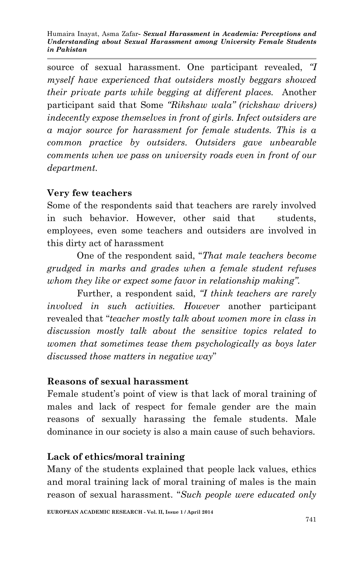source of sexual harassment. One participant revealed, *"I myself have experienced that outsiders mostly beggars showed their private parts while begging at different places.* Another participant said that Some *"Rikshaw wala" (rickshaw drivers) indecently expose themselves in front of girls. Infect outsiders are a major source for harassment for female students. This is a common practice by outsiders. Outsiders gave unbearable comments when we pass on university roads even in front of our department.*

### **Very few teachers**

Some of the respondents said that teachers are rarely involved in such behavior. However, other said that students, employees, even some teachers and outsiders are involved in this dirty act of harassment

One of the respondent said, "*That male teachers become grudged in marks and grades when a female student refuses whom they like or expect some favor in relationship making".* 

Further, a respondent said, *"I think teachers are rarely involved in such activities. However* another participant revealed that "*teacher mostly talk about women more in class in discussion mostly talk about the sensitive topics related to women that sometimes tease them psychologically as boys later discussed those matters in negative way*"

### **Reasons of sexual harassment**

Female student's point of view is that lack of moral training of males and lack of respect for female gender are the main reasons of sexually harassing the female students. Male dominance in our society is also a main cause of such behaviors.

## **Lack of ethics/moral training**

Many of the students explained that people lack values, ethics and moral training lack of moral training of males is the main reason of sexual harassment. "*Such people were educated only*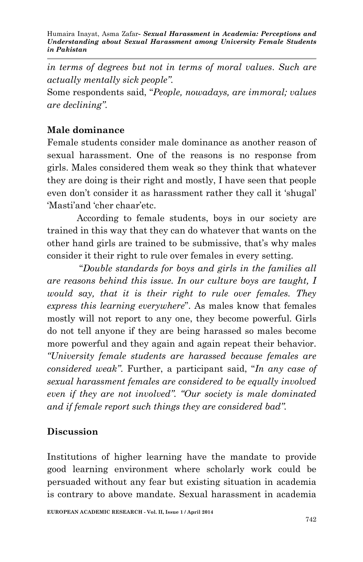*in terms of degrees but not in terms of moral values*. *Such are actually mentally sick people".*

Some respondents said, "*People, nowadays, are immoral; values are declining".*

### **Male dominance**

Female students consider male dominance as another reason of sexual harassment. One of the reasons is no response from girls. Males considered them weak so they think that whatever they are doing is their right and mostly, I have seen that people even don't consider it as harassment rather they call it 'shugal' 'Masti'and 'cher chaar'etc.

According to female students, boys in our society are trained in this way that they can do whatever that wants on the other hand girls are trained to be submissive, that's why males consider it their right to rule over females in every setting.

"*Double standards for boys and girls in the families all are reasons behind this issue. In our culture boys are taught, I would say, that it is their right to rule over females. They express this learning everywhere*". As males know that females mostly will not report to any one, they become powerful. Girls do not tell anyone if they are being harassed so males become more powerful and they again and again repeat their behavior. *"University female students are harassed because females are considered weak"*. Further, a participant said, "*In any case of sexual harassment females are considered to be equally involved even if they are not involved". "Our society is male dominated and if female report such things they are considered bad".*

## **Discussion**

Institutions of higher learning have the mandate to provide good learning environment where scholarly work could be persuaded without any fear but existing situation in academia is contrary to above mandate. Sexual harassment in academia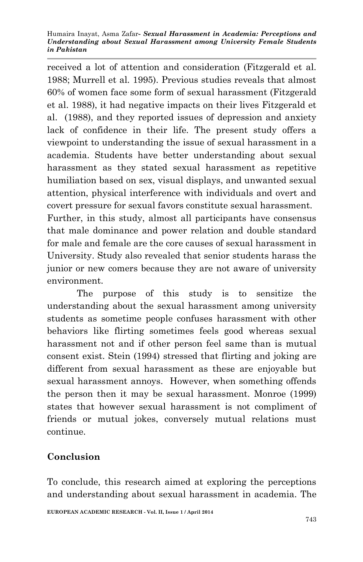received a lot of attention and consideration (Fitzgerald et al. 1988; Murrell et al. 1995). Previous studies reveals that almost 60% of women face some form of sexual harassment (Fitzgerald et al. 1988), it had negative impacts on their lives Fitzgerald et al. (1988), and they reported issues of depression and anxiety lack of confidence in their life. The present study offers a viewpoint to understanding the issue of sexual harassment in a academia. Students have better understanding about sexual harassment as they stated sexual harassment as repetitive humiliation based on sex, visual displays, and unwanted sexual attention, physical interference with individuals and overt and covert pressure for sexual favors constitute sexual harassment. Further, in this study, almost all participants have consensus that male dominance and power relation and double standard for male and female are the core causes of sexual harassment in

University. Study also revealed that senior students harass the junior or new comers because they are not aware of university environment.

The purpose of this study is to sensitize the understanding about the sexual harassment among university students as sometime people confuses harassment with other behaviors like flirting sometimes feels good whereas sexual harassment not and if other person feel same than is mutual consent exist. Stein (1994) stressed that flirting and joking are different from sexual harassment as these are enjoyable but sexual harassment annoys. However, when something offends the person then it may be sexual harassment. Monroe (1999) states that however sexual harassment is not compliment of friends or mutual jokes, conversely mutual relations must continue.

# **Conclusion**

To conclude, this research aimed at exploring the perceptions and understanding about sexual harassment in academia. The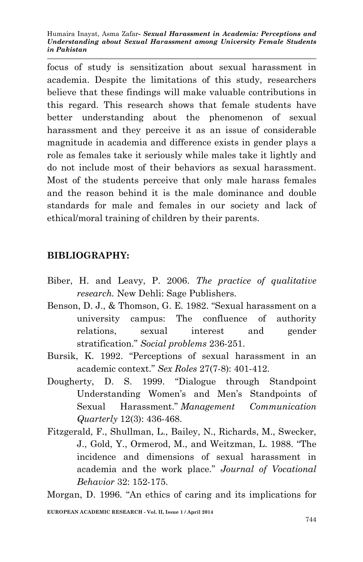focus of study is sensitization about sexual harassment in academia. Despite the limitations of this study, researchers believe that these findings will make valuable contributions in this regard. This research shows that female students have better understanding about the phenomenon of sexual harassment and they perceive it as an issue of considerable magnitude in academia and difference exists in gender plays a role as females take it seriously while males take it lightly and do not include most of their behaviors as sexual harassment. Most of the students perceive that only male harass females and the reason behind it is the male dominance and double standards for male and females in our society and lack of ethical/moral training of children by their parents.

## **BIBLIOGRAPHY:**

- Biber, H. and Leavy, P. 2006. *The practice of qualitative research.* New Dehli: Sage Publishers.
- Benson, D. J., & Thomson, G. E. 1982. "Sexual harassment on a university campus: The confluence of authority relations, sexual interest and gender stratification." *Social problems* 236-251.
- Bursik, K. 1992. "Perceptions of sexual harassment in an academic context." *Sex Roles* 27(7-8): 401-412.
- Dougherty, D. S. 1999. "Dialogue through Standpoint Understanding Women's and Men's Standpoints of Sexual Harassment." *Management Communication Quarterly* 12(3): 436-468.
- Fitzgerald, F., Shullman, L., Bailey, N., Richards, M., Swecker, J., Gold, Y., Ormerod, M., and Weitzman, L. 1988. "The incidence and dimensions of sexual harassment in academia and the work place." *Journal of Vocational Behavior* 32: 152-175.

Morgan, D. 1996. "An ethics of caring and its implications for